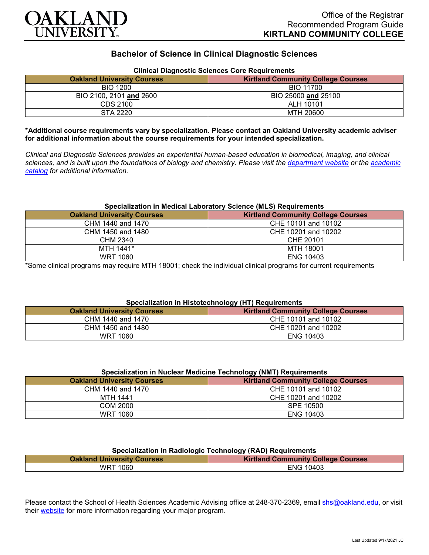

# **Bachelor of Science in Clinical Diagnostic Sciences**

| Cilincal Diagnostic Sciences Core Reguliements |                                           |
|------------------------------------------------|-------------------------------------------|
| <b>Oakland University Courses</b>              | <b>Kirtland Community College Courses</b> |
| <b>BIO 1200</b>                                | BIO 11700                                 |
| BIO 2100, 2101 and 2600                        | BIO 25000 and 25100                       |
| CDS 2100                                       | ALH 10101                                 |
| STA 2220                                       | MTH 20600                                 |

## **Clinical Diagnostic Sciences Core Requirements**

**\*Additional course requirements vary by specialization. Please contact an Oakland University academic adviser for additional information about the course requirements for your intended specialization.**

*Clinical and Diagnostic Sciences provides an experiential human-based education in biomedical, imaging, and clinical sciences, and is built upon the foundations of biology and chemistry. Please visit the [department website](https://www.oakland.edu/shs/clinical-and-diagnostic-sciences/) or the [academic](http://catalog.oakland.edu/preview_program.php?catoid=53&poid=8663)  [catalog](http://catalog.oakland.edu/preview_program.php?catoid=53&poid=8663) for additional information.*

#### **Specialization in Medical Laboratory Science (MLS) Requirements**

| <b>Oakland University Courses</b> | <b>Kirtland Community College Courses</b> |
|-----------------------------------|-------------------------------------------|
| CHM 1440 and 1470                 | CHE 10101 and 10102                       |
| CHM 1450 and 1480                 | CHE 10201 and 10202                       |
| CHM 2340                          | CHE 20101                                 |
| MTH 1441*                         | MTH 18001                                 |
| <b>WRT 1060</b>                   | <b>ENG 10403</b>                          |

\*Some clinical programs may require MTH 18001; check the individual clinical programs for current requirements

# **Specialization in Histotechnology (HT) Requirements**

| <b>Oakland University Courses</b> | <b>Kirtland Community College Courses</b> |
|-----------------------------------|-------------------------------------------|
| CHM 1440 and 1470                 | CHE 10101 and 10102                       |
| CHM 1450 and 1480                 | CHE 10201 and 10202                       |
| WRT 1060                          | <b>ENG 10403</b>                          |

#### **Specialization in Nuclear Medicine Technology (NMT) Requirements**

| <b>Oakland University Courses</b> | <b>Kirtland Community College Courses</b> |
|-----------------------------------|-------------------------------------------|
| CHM 1440 and 1470                 | CHE 10101 and 10102                       |
| <b>MTH 1441</b>                   | CHE 10201 and 10202                       |
| COM 2000                          | SPE 10500                                 |
| <b>WRT 1060</b>                   | <b>ENG 10403</b>                          |

| Specialization in Radiologic Technology (RAD) Requirements                     |  |
|--------------------------------------------------------------------------------|--|
| <b>Kirtland Community College Courses</b><br><b>Oakland University Courses</b> |  |

WRT 1060 **ENG 10403** 

Please contact the School of Health Sciences Academic Advising office at 248-370-2369, email [shs@oakland.edu,](mailto:shs@oakland.edu) or visit their [website](http://www.oakland.edu/shs/advising) for more information regarding your major program.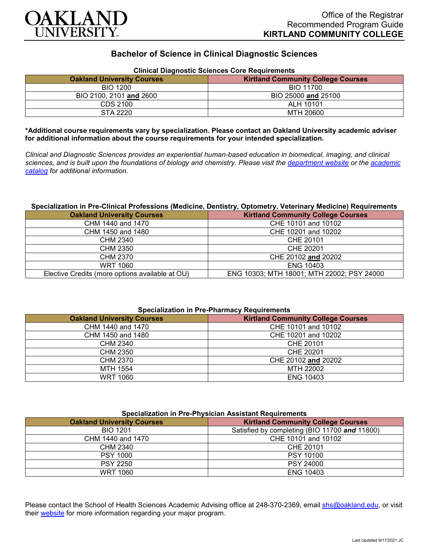

# **Bachelor of Science in Clinical Diagnostic Sciences**

| Cilincal Diagnostic Sciences Core Requirements |                                           |
|------------------------------------------------|-------------------------------------------|
| <b>Oakland University Courses</b>              | <b>Kirtland Community College Courses</b> |
| <b>BIO 1200</b>                                | BIO 11700                                 |
| BIO 2100, 2101 and 2600                        | BIO 25000 and 25100                       |
| CDS 2100                                       | ALH 10101                                 |
| STA 2220                                       | MTH 20600                                 |

## **Clinical Diagnostic Sciences Core Requirements**

**\*Additional course requirements vary by specialization. Please contact an Oakland University academic adviser for additional information about the course requirements for your intended specialization.**

*Clinical and Diagnostic Sciences provides an experiential human-based education in biomedical, imaging, and clinical sciences, and is built upon the foundations of biology and chemistry. Please visit the [department website](https://www.oakland.edu/shs/clinical-and-diagnostic-sciences/) or the [academic](http://catalog.oakland.edu/preview_program.php?catoid=53&poid=8663)  [catalog](http://catalog.oakland.edu/preview_program.php?catoid=53&poid=8663) for additional information.*

### **Specialization in Pre-Clinical Professions (Medicine, Dentistry, Optometry, Veterinary Medicine) Requirements**

| <b>Oakland University Courses</b>               | <b>Kirtland Community College Courses</b>  |
|-------------------------------------------------|--------------------------------------------|
| CHM 1440 and 1470                               | CHE 10101 and 10102                        |
| CHM 1450 and 1480                               | CHE 10201 and 10202                        |
| CHM 2340                                        | CHE 20101                                  |
| CHM 2350                                        | CHE 20201                                  |
| CHM 2370                                        | CHE 20102 and 20202                        |
| <b>WRT 1060</b>                                 | <b>ENG 10403</b>                           |
| Elective Credits (more options available at OU) | ENG 10303; MTH 18001; MTH 22002; PSY 24000 |

#### **Specialization in Pre-Pharmacy Requirements**

| <b>Oakland University Courses</b> | <b>Kirtland Community College Courses</b> |
|-----------------------------------|-------------------------------------------|
| CHM 1440 and 1470                 | CHE 10101 and 10102                       |
| CHM 1450 and 1480                 | CHE 10201 and 10202                       |
| CHM 2340                          | CHE 20101                                 |
| CHM 2350                          | CHE 20201                                 |
| CHM 2370                          | CHE 20102 and 20202                       |
| MTH 1554                          | MTH 22002                                 |
| <b>WRT 1060</b>                   | <b>ENG 10403</b>                          |

### **Specialization in Pre-Physician Assistant Requirements**

| <b>Oakland University Courses</b> | <b>Kirtland Community College Courses</b>     |
|-----------------------------------|-----------------------------------------------|
| <b>BIO 1201</b>                   | Satisfied by completing (BIO 11700 and 11800) |
| CHM 1440 and 1470                 | CHE 10101 and 10102                           |
| CHM 2340                          | CHE 20101                                     |
| <b>PSY 1000</b>                   | PSY 10100                                     |
| <b>PSY 2250</b>                   | <b>PSY 24000</b>                              |
| <b>WRT 1060</b>                   | <b>ENG 10403</b>                              |

Please contact the School of Health Sciences Academic Advising office at 248-370-2369, email [shs@oakland.edu,](mailto:shs@oakland.edu) or visit their [website](http://www.oakland.edu/shs/advising) for more information regarding your major program.